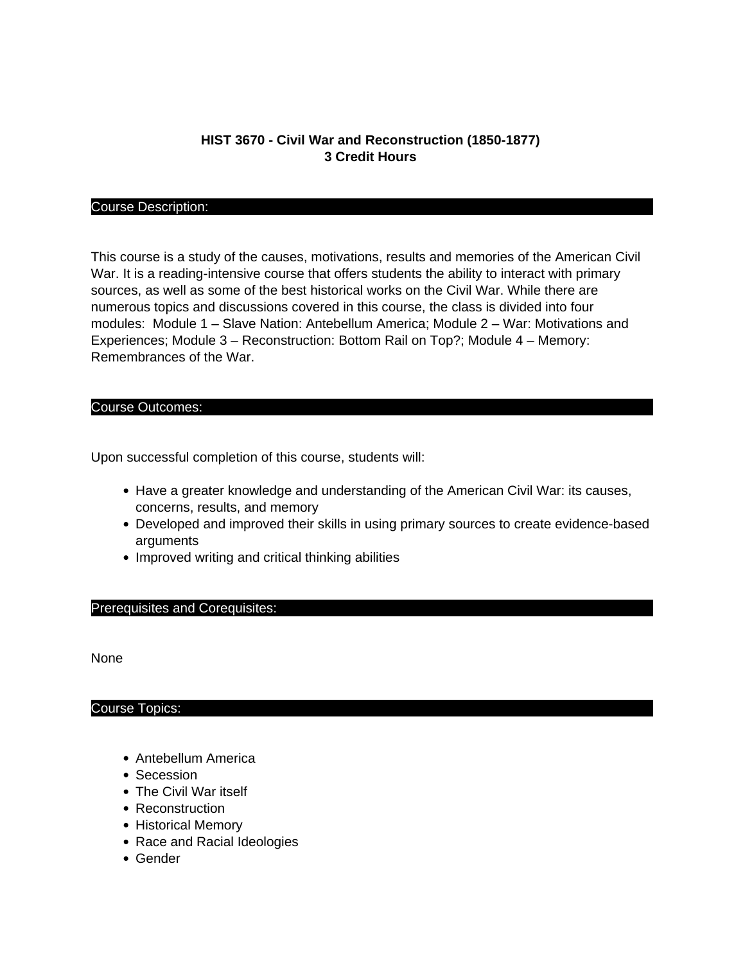# **HIST 3670 - Civil War and Reconstruction (1850-1877) 3 Credit Hours**

## Course Description:

This course is a study of the causes, motivations, results and memories of the American Civil War. It is a reading-intensive course that offers students the ability to interact with primary sources, as well as some of the best historical works on the Civil War. While there are numerous topics and discussions covered in this course, the class is divided into four modules: Module 1 – Slave Nation: Antebellum America; Module 2 – War: Motivations and Experiences; Module 3 – Reconstruction: Bottom Rail on Top?; Module 4 – Memory: Remembrances of the War.

#### Course Outcomes:

Upon successful completion of this course, students will:

- Have a greater knowledge and understanding of the American Civil War: its causes, concerns, results, and memory
- Developed and improved their skills in using primary sources to create evidence-based arguments
- Improved writing and critical thinking abilities

## Prerequisites and Corequisites:

None

## Course Topics:

- Antebellum America
- Secession
- The Civil War itself
- Reconstruction
- Historical Memory
- Race and Racial Ideologies
- Gender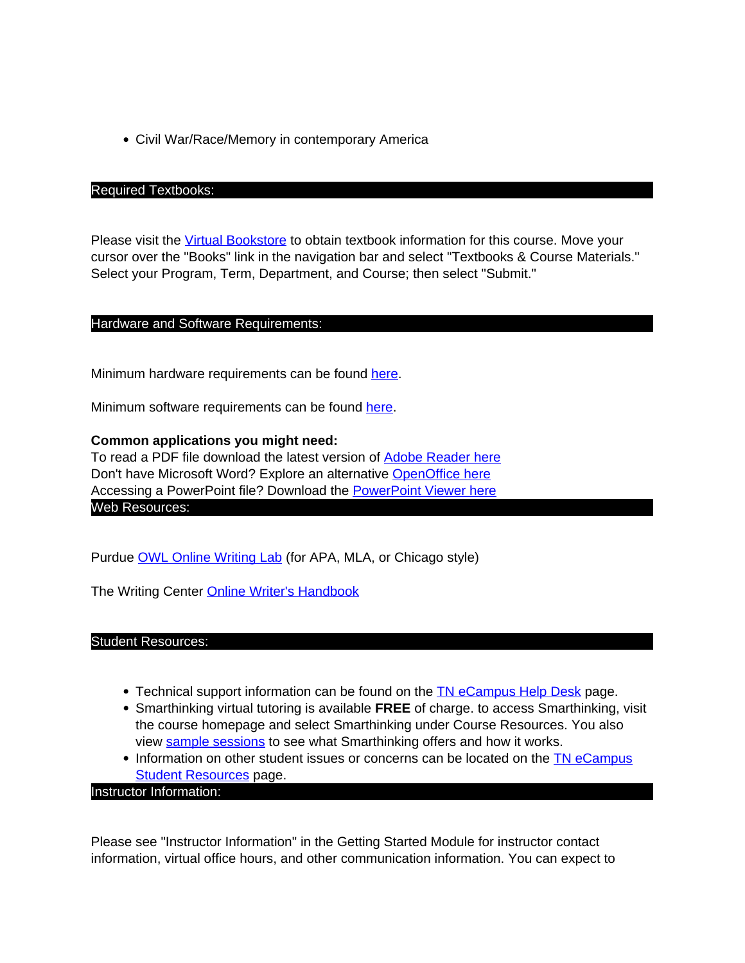Civil War/Race/Memory in contemporary America

#### Required Textbooks:

Please visit the [Virtual Bookstore](http://www.bkstr.com/tnecampusstore/home/en) to obtain textbook information for this course. Move your cursor over the "Books" link in the navigation bar and select "Textbooks & Course Materials." Select your Program, Term, Department, and Course; then select "Submit."

## Hardware and Software Requirements:

Minimum hardware requirements can be found here.

Minimum software requirements can be found here.

## **Common applications you might need:**

To read a PDF file download the latest version of Adobe Reader here Don't have Microsoft Word? Explore an alternative OpenOffice here Accessing a PowerPoint file? Download the PowerPoint Viewer here Web Resources:

Purdue OWL Online Writing Lab (for APA, MLA, or Chicago style)

The Writing Center Online Writer's Handbook

Student Resources:

- Technical support information can be found on the TN eCampus Help Desk page.
- Smarthinking virtual tutoring is available **FREE** of charge. to access Smarthinking, visit the course homepage and select Smarthinking under Course Resources. You also view sample sessions to see what Smarthinking offers and how it works.
- Information on other student issues or concerns can be located on the TN eCampus **Student Resources page.**

Instructor Information:

Please see "Instructor Information" in the Getting Started Module for instructor contact information, virtual office hours, and other communication information. You can expect to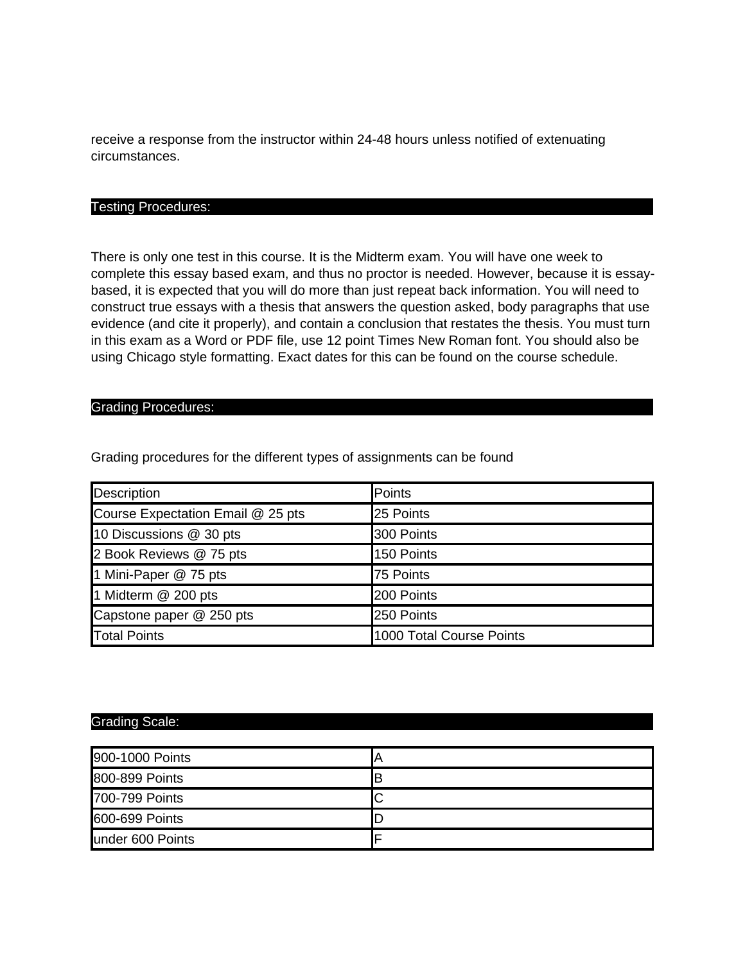receive a response from the instructor within 24-48 hours unless notified of extenuating circumstances.

#### Testing Procedures:

There is only one test in this course. It is the Midterm exam. You will have one week to complete this essay based exam, and thus no proctor is needed. However, because it is essaybased, it is expected that you will do more than just repeat back information. You will need to construct true essays with a thesis that answers the question asked, body paragraphs that use evidence (and cite it properly), and contain a conclusion that restates the thesis. You must turn in this exam as a Word or PDF file, use 12 point Times New Roman font. You should also be using Chicago style formatting. Exact dates for this can be found on the course schedule.

#### Grading Procedures:

Grading procedures for the different types of assignments can be found

| Description                       | Points                   |
|-----------------------------------|--------------------------|
| Course Expectation Email @ 25 pts | 25 Points                |
| 10 Discussions @ 30 pts           | 300 Points               |
| 2 Book Reviews @ 75 pts           | 150 Points               |
| 1 Mini-Paper @ 75 pts             | 75 Points                |
| 1 Midterm @ 200 pts               | 200 Points               |
| Capstone paper @ 250 pts          | 250 Points               |
| <b>Total Points</b>               | 1000 Total Course Points |

# Grading Scale:

| 900-1000 Points   |    |
|-------------------|----|
| 800-899 Points    | ΙB |
| 700-799 Points    |    |
| 600-699 Points    | ┗  |
| lunder 600 Points |    |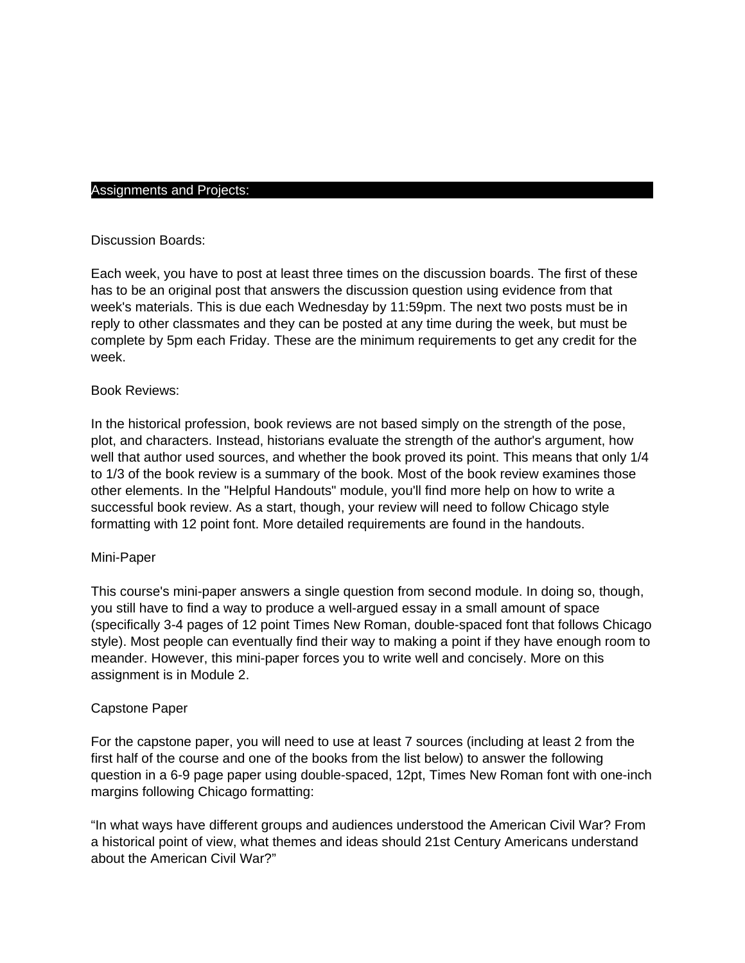## Assignments and Projects:

## Discussion Boards:

Each week, you have to post at least three times on the discussion boards. The first of these has to be an original post that answers the discussion question using evidence from that week's materials. This is due each Wednesday by 11:59pm. The next two posts must be in reply to other classmates and they can be posted at any time during the week, but must be complete by 5pm each Friday. These are the minimum requirements to get any credit for the week.

## Book Reviews:

In the historical profession, book reviews are not based simply on the strength of the pose, plot, and characters. Instead, historians evaluate the strength of the author's argument, how well that author used sources, and whether the book proved its point. This means that only 1/4 to 1/3 of the book review is a summary of the book. Most of the book review examines those other elements. In the "Helpful Handouts" module, you'll find more help on how to write a successful book review. As a start, though, your review will need to follow Chicago style formatting with 12 point font. More detailed requirements are found in the handouts.

## Mini-Paper

This course's mini-paper answers a single question from second module. In doing so, though, you still have to find a way to produce a well-argued essay in a small amount of space (specifically 3-4 pages of 12 point Times New Roman, double-spaced font that follows Chicago style). Most people can eventually find their way to making a point if they have enough room to meander. However, this mini-paper forces you to write well and concisely. More on this assignment is in Module 2.

## Capstone Paper

For the capstone paper, you will need to use at least 7 sources (including at least 2 from the first half of the course and one of the books from the list below) to answer the following question in a 6-9 page paper using double-spaced, 12pt, Times New Roman font with one-inch margins following Chicago formatting:

"In what ways have different groups and audiences understood the American Civil War? From a historical point of view, what themes and ideas should 21st Century Americans understand about the American Civil War?"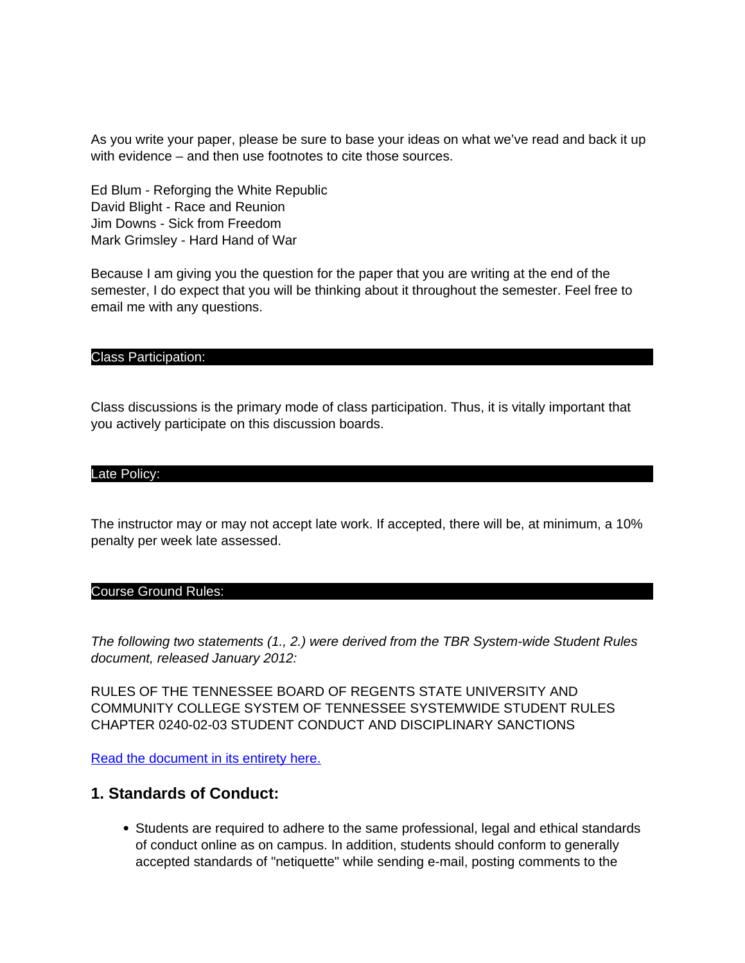As you write your paper, please be sure to base your ideas on what we've read and back it up with evidence – and then use footnotes to cite those sources.

Ed Blum - Reforging the White Republic David Blight - Race and Reunion Jim Downs - Sick from Freedom Mark Grimsley - Hard Hand of War

Because I am giving you the question for the paper that you are writing at the end of the semester, I do expect that you will be thinking about it throughout the semester. Feel free to email me with any questions.

## Class Participation:

Class discussions is the primary mode of class participation. Thus, it is vitally important that you actively participate on this discussion boards.

## Late Policy:

The instructor may or may not accept late work. If accepted, there will be, at minimum, a 10% penalty per week late assessed.

#### Course Ground Rules:

The following two statements (1., 2.) were derived from the TBR System-wide Student Rules document, released January 2012:

RULES OF THE TENNESSEE BOARD OF REGENTS STATE UNIVERSITY AND COMMUNITY COLLEGE SYSTEM OF TENNESSEE SYSTEMWIDE STUDENT RULES CHAPTER 0240-02-03 STUDENT CONDUCT AND DISCIPLINARY SANCTIONS

Read the document in its entirety here.

# **1. Standards of Conduct:**

• Students are required to adhere to the same professional, legal and ethical standards of conduct online as on campus. In addition, students should conform to generally accepted standards of "netiquette" while sending e-mail, posting comments to the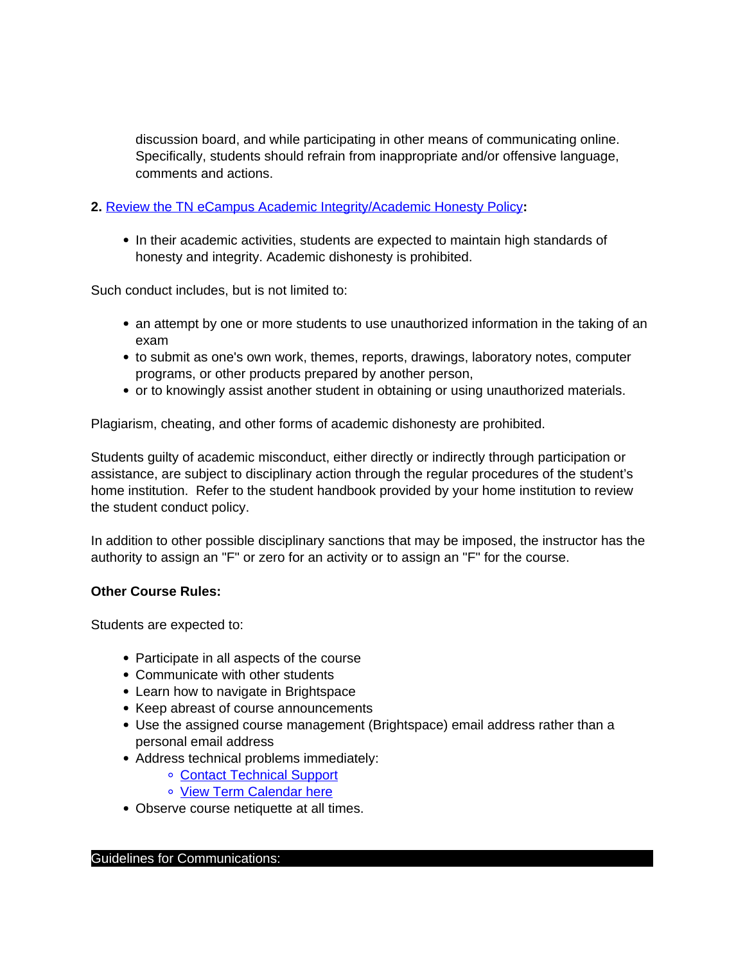discussion board, and while participating in other means of communicating online. Specifically, students should refrain from inappropriate and/or offensive language, comments and actions.

# **2.** Review the TN eCampus Academic Integrity/Academic Honesty Policy**:**

• In their academic activities, students are expected to maintain high standards of honesty and integrity. Academic dishonesty is prohibited.

Such conduct includes, but is not limited to:

- an attempt by one or more students to use unauthorized information in the taking of an exam
- to submit as one's own work, themes, reports, drawings, laboratory notes, computer programs, or other products prepared by another person,
- or to knowingly assist another student in obtaining or using unauthorized materials.

Plagiarism, cheating, and other forms of academic dishonesty are prohibited.

Students guilty of academic misconduct, either directly or indirectly through participation or assistance, are subject to disciplinary action through the regular procedures of the student's home institution. Refer to the student handbook provided by your home institution to review the student conduct policy.

In addition to other possible disciplinary sanctions that may be imposed, the instructor has the authority to assign an "F" or zero for an activity or to assign an "F" for the course.

# **Other Course Rules:**

Students are expected to:

- Participate in all aspects of the course
- Communicate with other students
- Learn how to navigate in Brightspace
- Keep abreast of course announcements
- Use the assigned course management (Brightspace) email address rather than a personal email address
- Address technical problems immediately:
	- Contact Technical Support
		- o View Term Calendar here
- Observe course netiquette at all times.

## Guidelines for Communications: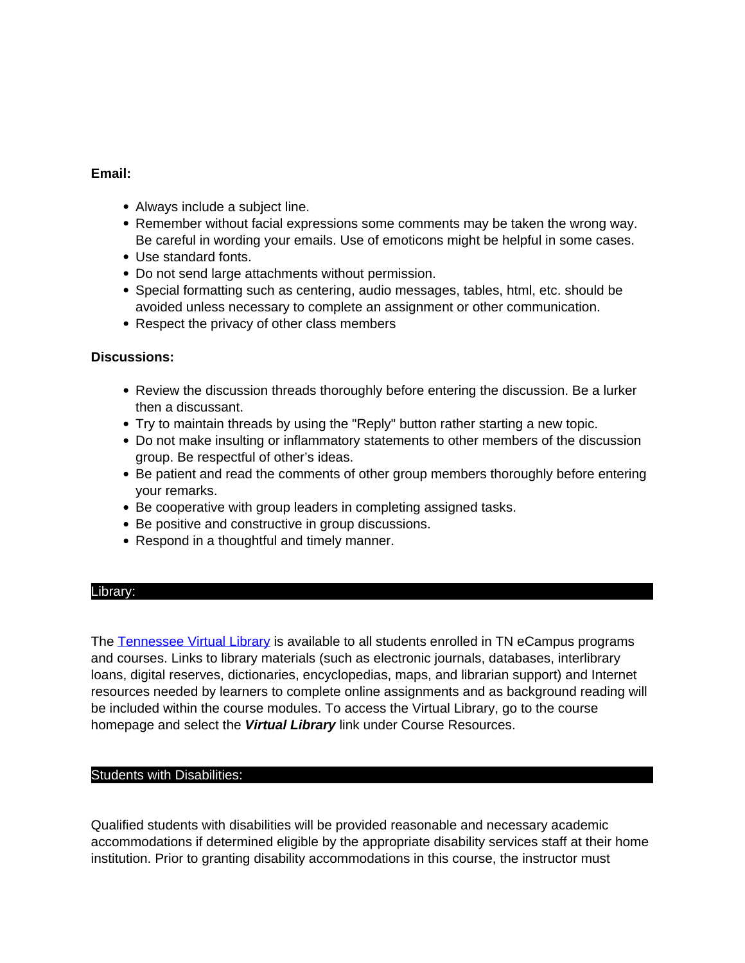# **Email:**

- Always include a subject line.
- Remember without facial expressions some comments may be taken the wrong way. Be careful in wording your emails. Use of emoticons might be helpful in some cases.
- Use standard fonts.
- Do not send large attachments without permission.
- Special formatting such as centering, audio messages, tables, html, etc. should be avoided unless necessary to complete an assignment or other communication.
- Respect the privacy of other class members

## **Discussions:**

- Review the discussion threads thoroughly before entering the discussion. Be a lurker then a discussant.
- Try to maintain threads by using the "Reply" button rather starting a new topic.
- Do not make insulting or inflammatory statements to other members of the discussion group. Be respectful of other's ideas.
- Be patient and read the comments of other group members thoroughly before entering your remarks.
- Be cooperative with group leaders in completing assigned tasks.
- Be positive and constructive in group discussions.
- Respond in a thoughtful and timely manner.

## Library:

The Tennessee Virtual Library is available to all students enrolled in TN eCampus programs and courses. Links to library materials (such as electronic journals, databases, interlibrary loans, digital reserves, dictionaries, encyclopedias, maps, and librarian support) and Internet resources needed by learners to complete online assignments and as background reading will be included within the course modules. To access the Virtual Library, go to the course homepage and select the **Virtual Library** link under Course Resources.

## Students with Disabilities:

Qualified students with disabilities will be provided reasonable and necessary academic accommodations if determined eligible by the appropriate disability services staff at their home institution. Prior to granting disability accommodations in this course, the instructor must